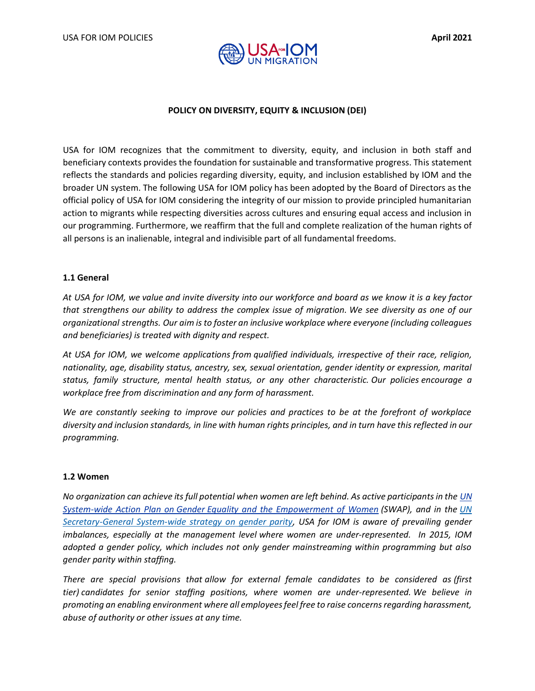



# **POLICY ON DIVERSITY, EQUITY & INCLUSION (DEI)**

USA for IOM recognizes that the commitment to diversity, equity, and inclusion in both staff and beneficiary contexts provides the foundation for sustainable and transformative progress. This statement reflects the standards and policies regarding diversity, equity, and inclusion established by IOM and the broader UN system. The following USA for IOM policy has been adopted by the Board of Directors as the official policy of USA for IOM considering the integrity of our mission to provide principled humanitarian action to migrants while respecting diversities across cultures and ensuring equal access and inclusion in our programming. Furthermore, we reaffirm that the full and complete realization of the human rights of all persons is an inalienable, integral and indivisible part of all fundamental freedoms.

### **1.1 General**

*At USA for IOM, we value and invite diversity into our workforce and board as we know it is a key factor that strengthens our ability to address the complex issue of migration. We see diversity as one of our organizational strengths. Our aim is to foster an inclusive workplace where everyone (including colleagues and beneficiaries) is treated with dignity and respect.*

*At USA for IOM, we welcome applications from qualified individuals, irrespective of their race, religion, nationality, age, disability status, ancestry, sex, sexual orientation, gender identity or expression, marital status, family structure, mental health status, or any other characteristic. Our policies encourage a workplace free from discrimination and any form of harassment.*

*We are constantly seeking to improve our policies and practices to be at the forefront of workplace diversity and inclusion standards, in line with human rights principles, and in turn have this reflected in our programming.* 

### **1.2 Women**

*No organization can achieve its full potential when women are left behind. As active participants in the [UN](http://www.unwomen.org/en/how-we-work/un-system-coordination/promoting-un-accountability)  System-wide Action Plan on Gender [Equality and the Empowerment of Women](http://www.unwomen.org/en/how-we-work/un-system-coordination/promoting-un-accountability) (SWAP), and in the [UN](https://www.un.int/sites/www.un.int/files/Permanent%20Missions/delegate/17-00102b_gender_strategy_report_13_sept_2017.pdf)  [Secretary-General System-wide strategy on gender parity,](https://www.un.int/sites/www.un.int/files/Permanent%20Missions/delegate/17-00102b_gender_strategy_report_13_sept_2017.pdf) USA for IOM is aware of prevailing gender imbalances, especially at the management level where women are under-represented. In 2015, IOM adopted a gender policy, which includes not only gender mainstreaming within programming but also gender parity within staffing.*

*There are special provisions that allow for external female candidates to be considered as (first tier) candidates for senior staffing positions, where women are under-represented. We believe in promoting an enabling environment where all employees feel free to raise concerns regarding harassment, abuse of authority or other issues at any time.*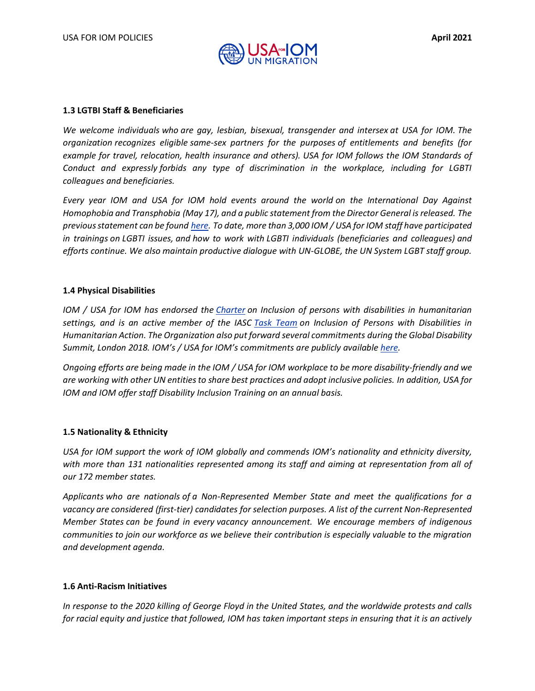

### **1.3 LGTBI Staff & Beneficiaries**

*We welcome individuals who are gay, lesbian, bisexual, transgender and intersex at USA for IOM. The organization recognizes eligible same-sex partners for the purposes of entitlements and benefits (for example for travel, relocation, health insurance and others). USA for IOM follows the IOM Standards of Conduct and expressly forbids any type of discrimination in the workplace, including for LGBTI colleagues and beneficiaries.* 

*Every year IOM and USA for IOM hold events around the world on the International Day Against Homophobia and Transphobia (May 17), and a public statement from the Director General is released. The previous statement can be found [here.](https://www.iom.int/news/un-migration-agency-marks-international-day-against-homophobia-and-transphobia-idahot) To date, more than 3,000 IOM / USA for IOM staff have participated in trainings on LGBTI issues, and how to work with LGBTI individuals (beneficiaries and colleagues) and efforts continue. We also maintain productive dialogue with UN-GLOBE, the UN System LGBT staff group.*

# **1.4 Physical Disabilities**

*IOM / USA for IOM has endorsed the [Charter](http://humanitariandisabilitycharter.org/) on Inclusion of persons with disabilities in humanitarian settings, and is an active member of the IASC [Task Team](https://interagencystandingcommittee.org/iasc-task-team-inclusion-persons-disabilities-humanitarian-action) on Inclusion of Persons with Disabilities in Humanitarian Action. The Organization also put forward several commitments during the Global Disability Summit, London 2018. IOM's / USA for IOM's commitments are publicly available [here.](https://www.gov.uk/government/publications/multilaterals-global-disability-summit-commitments)*

*Ongoing efforts are being made in the IOM / USA for IOM workplace to be more disability-friendly and we are working with other UN entities to share best practices and adopt inclusive policies. In addition, USA for IOM and IOM offer staff Disability Inclusion Training on an annual basis.*

# **1.5 Nationality & Ethnicity**

*USA for IOM support the work of IOM globally and commends IOM's nationality and ethnicity diversity, with more than 131 nationalities represented among its staff and aiming at representation from all of our 172 member states.* 

*Applicants who are nationals of a Non-Represented Member State and meet the qualifications for a vacancy are considered (first-tier) candidates for selection purposes. A list of the current Non-Represented Member States can be found in every vacancy announcement. We encourage members of indigenous communities to join our workforce as we believe their contribution is especially valuable to the migration and development agenda.* 

### **1.6 Anti-Racism Initiatives**

*In response to the 2020 killing of George Floyd in the United States, and the worldwide protests and calls for racial equity and justice that followed, IOM has taken important steps in ensuring that it is an actively*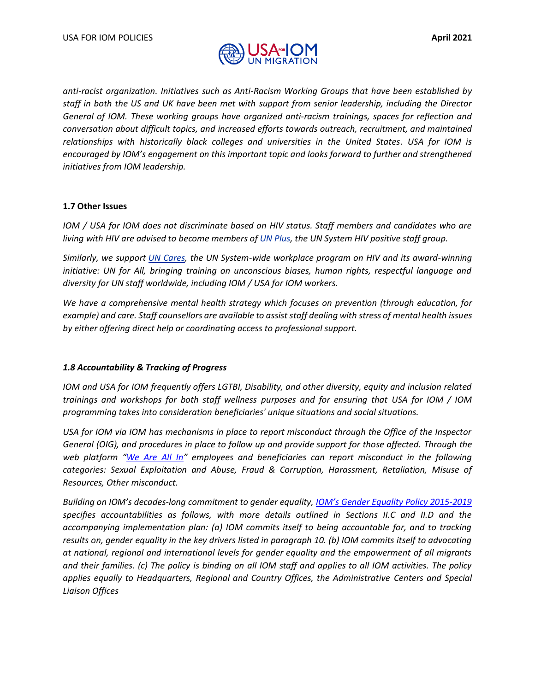

*anti-racist organization. Initiatives such as Anti-Racism Working Groups that have been established by staff in both the US and UK have been met with support from senior leadership, including the Director General of IOM. These working groups have organized anti-racism trainings, spaces for reflection and conversation about difficult topics, and increased efforts towards outreach, recruitment, and maintained relationships with historically black colleges and universities in the United States. USA for IOM is encouraged by IOM's engagement on this important topic and looks forward to further and strengthened initiatives from IOM leadership.* 

### **1.7 Other Issues**

*IOM / USA for IOM does not discriminate based on HIV status. Staff members and candidates who are living with HIV are advised to become members of [UN Plus,](https://unplus.unaids.org/) the UN System HIV positive staff group.* 

*Similarly, we support [UN Cares,](https://unplus.unaids.org/) the UN System-wide workplace program on HIV and its award-winning initiative: UN for All, bringing training on unconscious biases, human rights, respectful language and diversity for UN staff worldwide, including IOM / USA for IOM workers.*

*We have a comprehensive mental health strategy which focuses on prevention (through education, for example) and care. Staff counsellors are available to assist staff dealing with stress of mental health issues by either offering direct help or coordinating access to professional support.*

### *1.8 Accountability & Tracking of Progress*

*IOM and USA for IOM frequently offers LGTBI, Disability, and other diversity, equity and inclusion related trainings and workshops for both staff wellness purposes and for ensuring that USA for IOM / IOM programming takes into consideration beneficiaries' unique situations and social situations.* 

*USA for IOM via IOM has mechanisms in place to report misconduct through the Office of the Inspector General (OIG), and procedures in place to follow up and provide support for those affected. Through the web platform "[We Are All In](https://weareallin.iom.int/)" employees and beneficiaries can report misconduct in the following categories: Sexual Exploitation and Abuse, Fraud & Corruption, Harassment, Retaliation, Misuse of Resources, Other misconduct.* 

*Building on IOM's decades-long commitment to gender equality, IOM's Gen[der Equality Policy 2015-2019](https://dmsportal/sites/GOV/CouncilDocuments/106%202015/C-106-INF-8-Rev.1%20-%20IOM%20Gender%20Equality%20Policy%202015-2019.pdf#search=IOM%20Diversity%20Policy) specifies accountabilities as follows, with more details outlined in Sections II.C and II.D and the accompanying implementation plan: (a) IOM commits itself to being accountable for, and to tracking results on, gender equality in the key drivers listed in paragraph 10. (b) IOM commits itself to advocating at national, regional and international levels for gender equality and the empowerment of all migrants and their families. (c) The policy is binding on all IOM staff and applies to all IOM activities. The policy applies equally to Headquarters, Regional and Country Offices, the Administrative Centers and Special Liaison Offices*